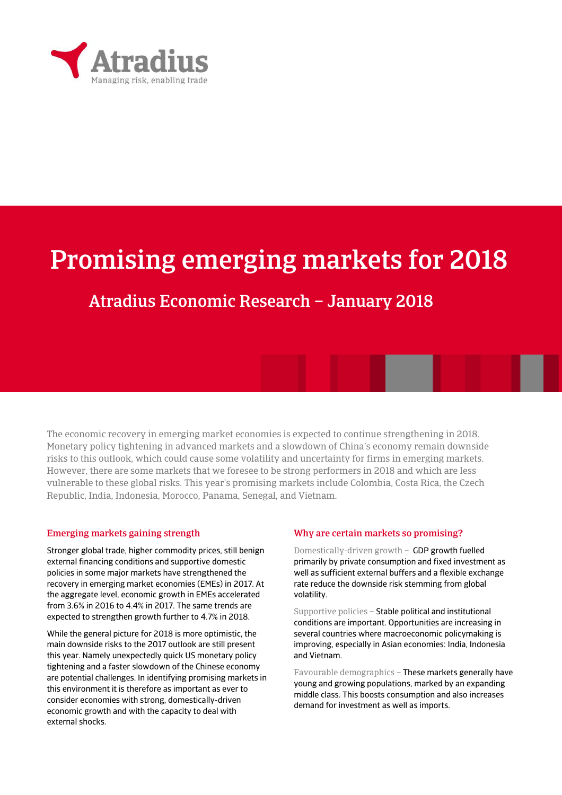

# Promising emerging markets for 2018

# Atradius Economic Research – January 2018

The economic recovery in emerging market economies is expected to continue strengthening in 2018. Monetary policy tightening in advanced markets and a slowdown of China's economy remain downside risks to this outlook, which could cause some volatility and uncertainty for firms in emerging markets. However, there are some markets that we foresee to be strong performers in 2018 and which are less vulnerable to these global risks. This year's promising markets include Colombia, Costa Rica, the Czech Republic, India, Indonesia, Morocco, Panama, Senegal, and Vietnam.

## Emerging markets gaining strength

Stronger global trade, higher commodity prices, still benign external financing conditions and supportive domestic policies in some major markets have strengthened the recovery in emerging market economies (EMEs) in 2017. At the aggregate level, economic growth in EMEs accelerated from 3.6% in 2016 to 4.4% in 2017. The same trends are expected to strengthen growth further to 4.7% in 2018.

While the general picture for 2018 is more optimistic, the main downside risks to the 2017 outlook are still present this year. Namely unexpectedly quick US monetary policy tightening and a faster slowdown of the Chinese economy are potential challenges. In identifying promising markets in this environment it is therefore as important as ever to consider economies with strong, domestically-driven economic growth and with the capacity to deal with external shocks.

## Why are certain markets so promising?

Domestically-driven growth – GDP growth fuelled primarily by private consumption and fixed investment as well as sufficient external buffers and a flexible exchange rate reduce the downside risk stemming from global volatility.

Supportive policies – Stable political and institutional conditions are important. Opportunities are increasing in several countries where macroeconomic policymaking is improving, especially in Asian economies: India, Indonesia and Vietnam.

Favourable demographics - These markets generally have young and growing populations, marked by an expanding middle class. This boosts consumption and also increases demand for investment as well as imports.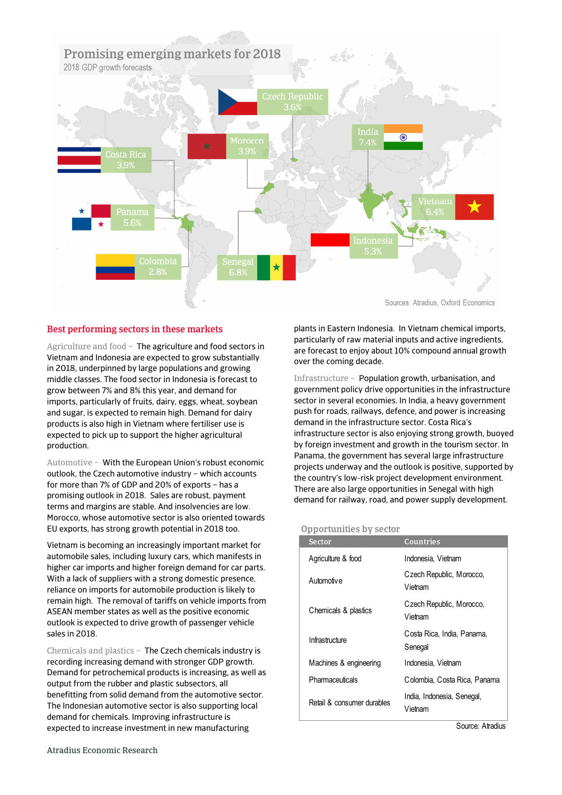

#### Best performing sectors in these markets

Agriculture and food – The agriculture and food sectors in Vietnam and Indonesia are expected to grow substantially in 2018, underpinned by large populations and growing middle classes. The food sector in Indonesia is forecast to grow between 7% and 8% this year, and demand for imports, particularly of fruits, dairy, eggs, wheat, soybean and sugar, is expected to remain high. Demand for dairy products is also high in Vietnam where fertiliser use is expected to pick up to support the higher agricultural production.

Automotive – With the European Union's robust economic outlook, the Czech automotive industry – which accounts for more than 7% of GDP and 20% of exports – has a promising outlook in 2018. Sales are robust, payment terms and margins are stable. And insolvencies are low. Morocco, whose automotive sector is also oriented towards EU exports, has strong growth potential in 2018 too.

Vietnam is becoming an increasingly important market for automobile sales, including luxury cars, which manifests in higher car imports and higher foreign demand for car parts. With a lack of suppliers with a strong domestic presence, reliance on imports for automobile production is likely to remain high. The removal of tariffs on vehicle imports from ASEAN member states as well as the positive economic outlook is expected to drive growth of passenger vehicle sales in 2018.

Chemicals and plastics – The Czech chemicals industry is recording increasing demand with stronger GDP growth. Demand for petrochemical products is increasing, as well as output from the rubber and plastic subsectors, all benefitting from solid demand from the automotive sector. The Indonesian automotive sector is also supporting local demand for chemicals. Improving infrastructure is expected to increase investment in new manufacturing

plants in Eastern Indonesia. In Vietnam chemical imports, particularly of raw material inputs and active ingredients, are forecast to enjoy about 10% compound annual growth over the coming decade.

Infrastructure – Population growth, urbanisation, and government policy drive opportunities in the infrastructure sector in several economies. In India, a heavy government push for roads, railways, defence, and power is increasing demand in the infrastructure sector. Costa Rica's infrastructure sector is also enjoying strong growth, buoyed by foreign investment and growth in the tourism sector. In Panama, the government has several large infrastructure projects underway and the outlook is positive, supported by the country's low-risk project development environment. There are also large opportunities in Senegal with high demand for railway, road, and power supply development.

#### Opportunities by sector

| Sector                     | <b>Countries</b>                      |
|----------------------------|---------------------------------------|
| Agriculture & food         | Indonesia, Vietnam                    |
| Automotive                 | Czech Republic, Morocco,<br>Vietnam   |
| Chemicals & plastics       | Czech Republic, Morocco,<br>Vietnam   |
| Infrastructure             | Costa Rica. India. Panama.<br>Senegal |
| Machines & engineering     | Indonesia, Vietnam                    |
| Pharmaceuticals            | Colombia. Costa Rica. Panama          |
| Retail & consumer durables | India, Indonesia, Senegal,<br>Vietnam |